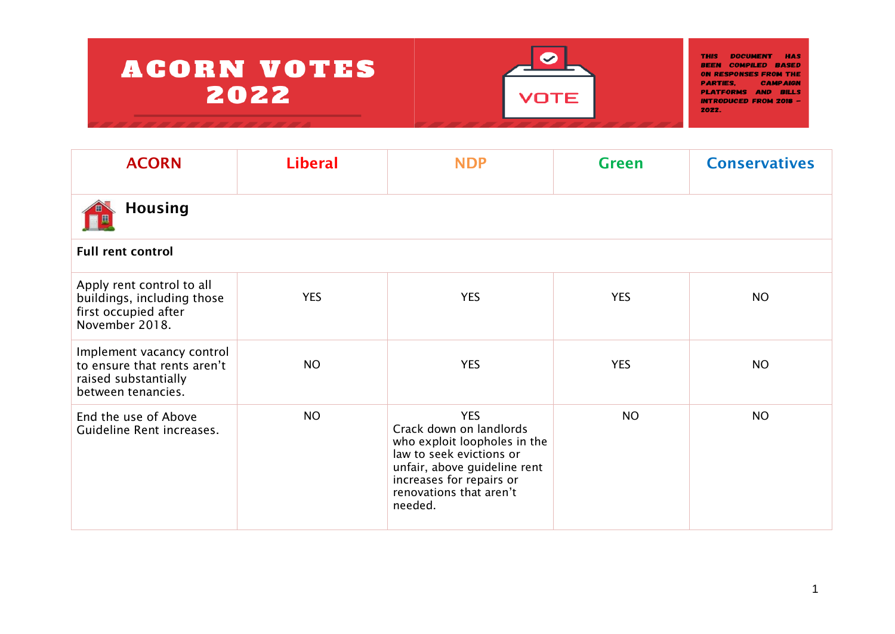

| <b>ACORN</b>                                                                                           | <b>Liberal</b> | <b>NDP</b>                                                                                                                                                                                          | <b>Green</b> | <b>Conservatives</b> |  |  |  |
|--------------------------------------------------------------------------------------------------------|----------------|-----------------------------------------------------------------------------------------------------------------------------------------------------------------------------------------------------|--------------|----------------------|--|--|--|
| <b>Housing</b>                                                                                         |                |                                                                                                                                                                                                     |              |                      |  |  |  |
| <b>Full rent control</b>                                                                               |                |                                                                                                                                                                                                     |              |                      |  |  |  |
| Apply rent control to all<br>buildings, including those<br>first occupied after<br>November 2018.      | <b>YES</b>     | <b>YES</b>                                                                                                                                                                                          | <b>YES</b>   | <b>NO</b>            |  |  |  |
| Implement vacancy control<br>to ensure that rents aren't<br>raised substantially<br>between tenancies. | <b>NO</b>      | <b>YES</b>                                                                                                                                                                                          | <b>YES</b>   | <b>NO</b>            |  |  |  |
| End the use of Above<br>Guideline Rent increases.                                                      | <b>NO</b>      | <b>YES</b><br>Crack down on landlords<br>who exploit loopholes in the<br>law to seek evictions or<br>unfair, above guideline rent<br>increases for repairs or<br>renovations that aren't<br>needed. | <b>NO</b>    | <b>NO</b>            |  |  |  |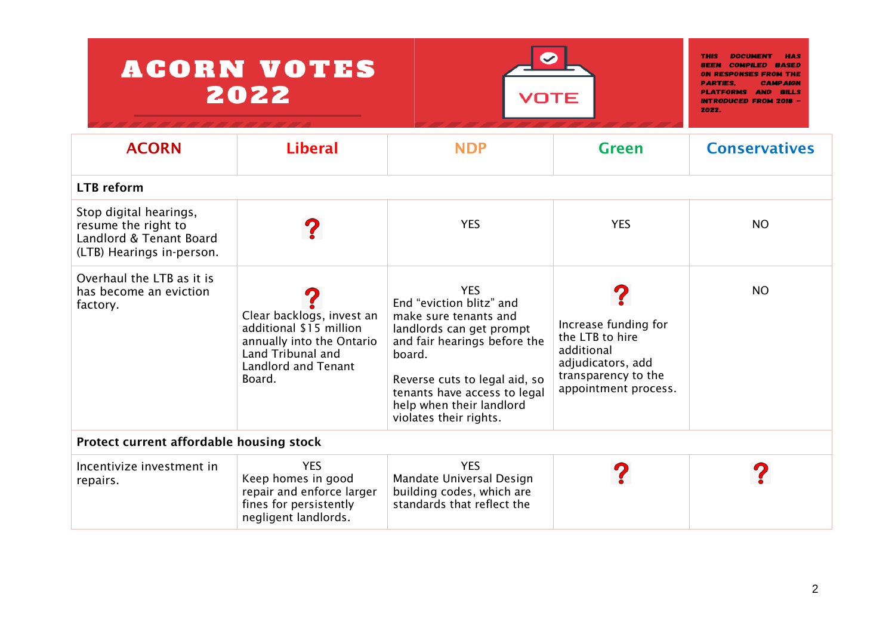| <b>ACORN VOTES</b><br>2022                                                                            | <b>REEN</b><br>ON RESPONSES FRO<br>PARTIES.<br><b>PLATFORMS AND</b><br><b>RILLS</b><br><b>INTRODUCED FROM 2018 -</b><br>2022.                  |                                                                                                                                                                                                                                                              |                                                                                                                           |                      |  |
|-------------------------------------------------------------------------------------------------------|------------------------------------------------------------------------------------------------------------------------------------------------|--------------------------------------------------------------------------------------------------------------------------------------------------------------------------------------------------------------------------------------------------------------|---------------------------------------------------------------------------------------------------------------------------|----------------------|--|
| <b>ACORN</b>                                                                                          | <b>Liberal</b>                                                                                                                                 | <b>NDP</b>                                                                                                                                                                                                                                                   | <b>Green</b>                                                                                                              | <b>Conservatives</b> |  |
| <b>LTB</b> reform                                                                                     |                                                                                                                                                |                                                                                                                                                                                                                                                              |                                                                                                                           |                      |  |
| Stop digital hearings,<br>resume the right to<br>Landlord & Tenant Board<br>(LTB) Hearings in-person. |                                                                                                                                                | <b>YES</b>                                                                                                                                                                                                                                                   | <b>YES</b>                                                                                                                | <b>NO</b>            |  |
| Overhaul the LTB as it is<br>has become an eviction<br>factory.                                       | Clear backlogs, invest an<br>additional \$15 million<br>annually into the Ontario<br>Land Tribunal and<br><b>Landlord and Tenant</b><br>Board. | <b>YES</b><br>End "eviction blitz" and<br>make sure tenants and<br>landlords can get prompt<br>and fair hearings before the<br>board.<br>Reverse cuts to legal aid, so<br>tenants have access to legal<br>help when their landlord<br>violates their rights. | Increase funding for<br>the LTB to hire<br>additional<br>adjudicators, add<br>transparency to the<br>appointment process. | <b>NO</b>            |  |
| Protect current affordable housing stock                                                              |                                                                                                                                                |                                                                                                                                                                                                                                                              |                                                                                                                           |                      |  |
| Incentivize investment in<br>repairs.                                                                 | <b>YES</b><br>Keep homes in good<br>repair and enforce larger<br>fines for persistently<br>negligent landlords.                                | <b>YES</b><br>Mandate Universal Design<br>building codes, which are<br>standards that reflect the                                                                                                                                                            |                                                                                                                           |                      |  |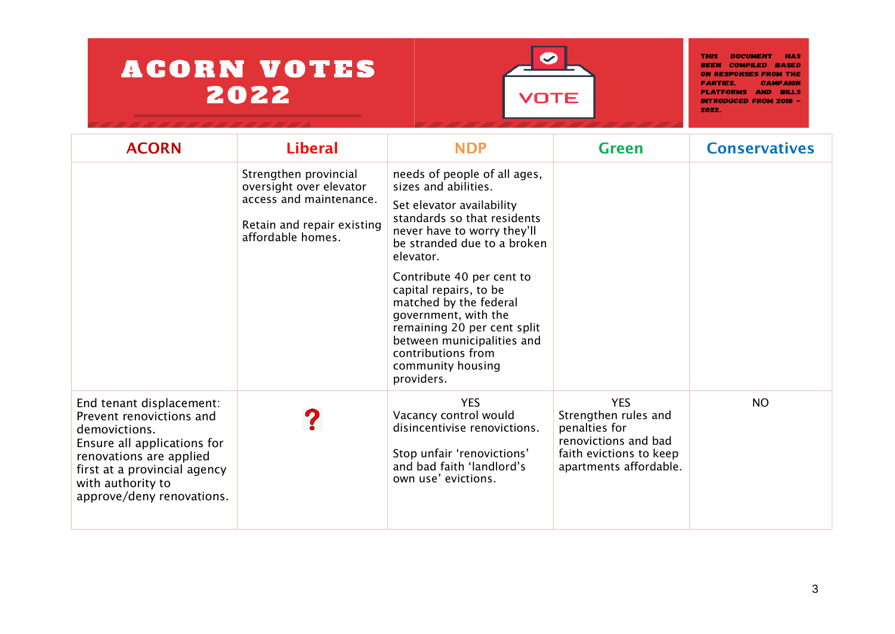

| <b>ACORN</b>                                                                                                                                                                                                      | <b>Liberal</b>                                                                                                                 | <b>NDP</b>                                                                                                                                                                                                                                                                                                                                                                                                                 | <b>Green</b>                                                                                                                     | <b>Conservatives</b> |
|-------------------------------------------------------------------------------------------------------------------------------------------------------------------------------------------------------------------|--------------------------------------------------------------------------------------------------------------------------------|----------------------------------------------------------------------------------------------------------------------------------------------------------------------------------------------------------------------------------------------------------------------------------------------------------------------------------------------------------------------------------------------------------------------------|----------------------------------------------------------------------------------------------------------------------------------|----------------------|
|                                                                                                                                                                                                                   | Strengthen provincial<br>oversight over elevator<br>access and maintenance.<br>Retain and repair existing<br>affordable homes. | needs of people of all ages,<br>sizes and abilities.<br>Set elevator availability<br>standards so that residents<br>never have to worry they'll<br>be stranded due to a broken<br>elevator.<br>Contribute 40 per cent to<br>capital repairs, to be<br>matched by the federal<br>government, with the<br>remaining 20 per cent split<br>between municipalities and<br>contributions from<br>community housing<br>providers. |                                                                                                                                  |                      |
| End tenant displacement:<br>Prevent renovictions and<br>demovictions.<br>Ensure all applications for<br>renovations are applied<br>first at a provincial agency<br>with authority to<br>approve/deny renovations. |                                                                                                                                | <b>YES</b><br>Vacancy control would<br>disincentivise renovictions.<br>Stop unfair 'renovictions'<br>and bad faith 'landlord's<br>own use' evictions.                                                                                                                                                                                                                                                                      | <b>YES</b><br>Strengthen rules and<br>penalties for<br>renovictions and bad<br>faith evictions to keep<br>apartments affordable. | <b>NO</b>            |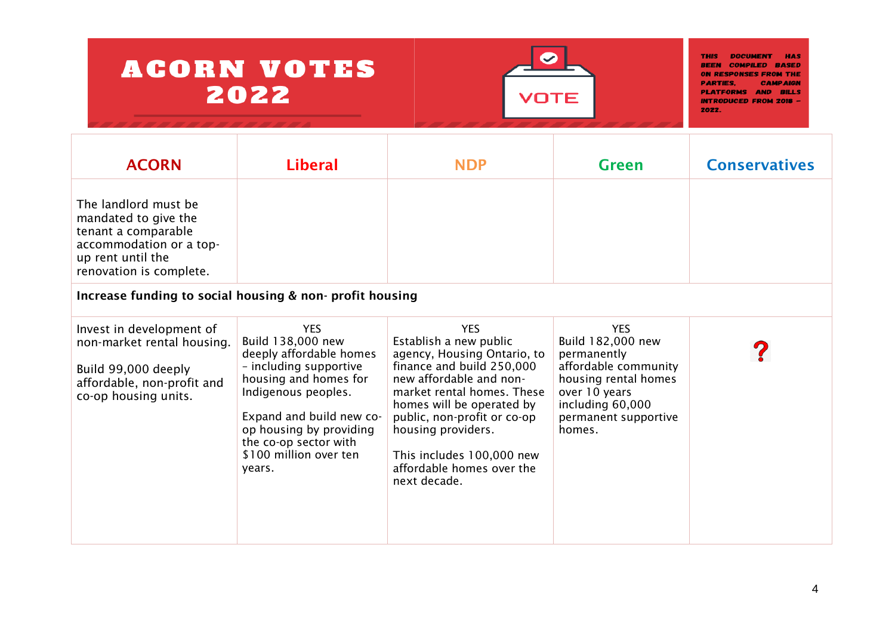

| <b>ACORN</b>                                                                                                                                   | <b>Liberal</b>                                                                                                                                                                                                                                           | <b>NDP</b>                                                                                                                                                                                                                                                                                                            | <b>Green</b>                                                                                                                                                          | <b>Conservatives</b> |
|------------------------------------------------------------------------------------------------------------------------------------------------|----------------------------------------------------------------------------------------------------------------------------------------------------------------------------------------------------------------------------------------------------------|-----------------------------------------------------------------------------------------------------------------------------------------------------------------------------------------------------------------------------------------------------------------------------------------------------------------------|-----------------------------------------------------------------------------------------------------------------------------------------------------------------------|----------------------|
| The landlord must be<br>mandated to give the<br>tenant a comparable<br>accommodation or a top-<br>up rent until the<br>renovation is complete. |                                                                                                                                                                                                                                                          |                                                                                                                                                                                                                                                                                                                       |                                                                                                                                                                       |                      |
| Increase funding to social housing & non-profit housing                                                                                        |                                                                                                                                                                                                                                                          |                                                                                                                                                                                                                                                                                                                       |                                                                                                                                                                       |                      |
| Invest in development of<br>non-market rental housing.<br>Build 99,000 deeply<br>affordable, non-profit and<br>co-op housing units.            | <b>YES</b><br>Build 138,000 new<br>deeply affordable homes<br>- including supportive<br>housing and homes for<br>Indigenous peoples.<br>Expand and build new co-<br>op housing by providing<br>the co-op sector with<br>\$100 million over ten<br>years. | <b>YES</b><br>Establish a new public<br>agency, Housing Ontario, to<br>finance and build 250,000<br>new affordable and non-<br>market rental homes. These<br>homes will be operated by<br>public, non-profit or co-op<br>housing providers.<br>This includes 100,000 new<br>affordable homes over the<br>next decade. | <b>YES</b><br>Build 182,000 new<br>permanently<br>affordable community<br>housing rental homes<br>over 10 years<br>including 60,000<br>permanent supportive<br>homes. |                      |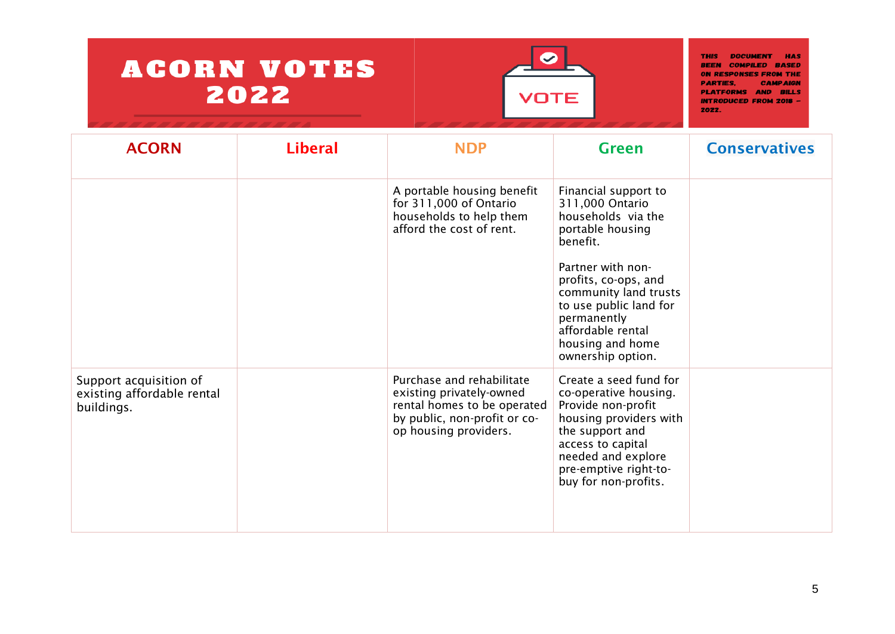

| <b>ACORN</b>                                                       | <b>Liberal</b> | <b>NDP</b>                                                                                                                                    | <b>Green</b>                                                                                                                                                                                                   | <b>Conservatives</b> |
|--------------------------------------------------------------------|----------------|-----------------------------------------------------------------------------------------------------------------------------------------------|----------------------------------------------------------------------------------------------------------------------------------------------------------------------------------------------------------------|----------------------|
|                                                                    |                | A portable housing benefit<br>for 311,000 of Ontario<br>households to help them<br>afford the cost of rent.                                   | Financial support to<br>311,000 Ontario<br>households via the<br>portable housing<br>benefit.<br>Partner with non-                                                                                             |                      |
|                                                                    |                |                                                                                                                                               | profits, co-ops, and<br>community land trusts<br>to use public land for<br>permanently<br>affordable rental<br>housing and home<br>ownership option.                                                           |                      |
| Support acquisition of<br>existing affordable rental<br>buildings. |                | Purchase and rehabilitate<br>existing privately-owned<br>rental homes to be operated<br>by public, non-profit or co-<br>op housing providers. | Create a seed fund for<br>co-operative housing.<br>Provide non-profit<br>housing providers with<br>the support and<br>access to capital<br>needed and explore<br>pre-emptive right-to-<br>buy for non-profits. |                      |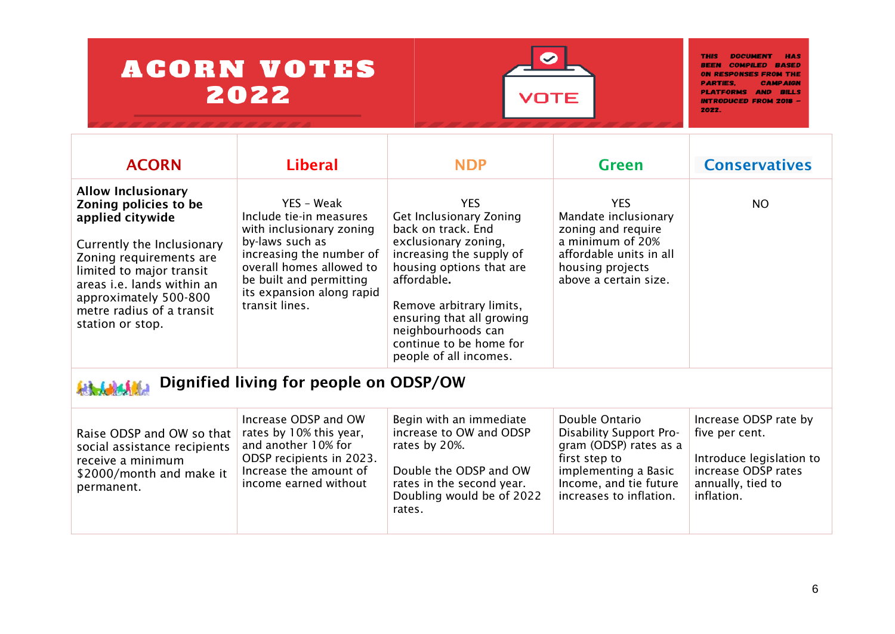

| <b>ACORN</b>                                                                                                                                                                                                                                                               | <b>Liberal</b>                                                                                                                                                                                                         | <b>NDP</b>                                                                                                                                                                                                                                                                                     | <b>Green</b>                                                                                                                                                      | <b>Conservatives</b>                                                                                                          |  |  |
|----------------------------------------------------------------------------------------------------------------------------------------------------------------------------------------------------------------------------------------------------------------------------|------------------------------------------------------------------------------------------------------------------------------------------------------------------------------------------------------------------------|------------------------------------------------------------------------------------------------------------------------------------------------------------------------------------------------------------------------------------------------------------------------------------------------|-------------------------------------------------------------------------------------------------------------------------------------------------------------------|-------------------------------------------------------------------------------------------------------------------------------|--|--|
| <b>Allow Inclusionary</b><br>Zoning policies to be<br>applied citywide<br>Currently the Inclusionary<br>Zoning requirements are<br>limited to major transit<br>areas <i>i.e.</i> lands within an<br>approximately 500-800<br>metre radius of a transit<br>station or stop. | YES - Weak<br>Include tie-in measures<br>with inclusionary zoning<br>by-laws such as<br>increasing the number of<br>overall homes allowed to<br>be built and permitting<br>its expansion along rapid<br>transit lines. | <b>YES</b><br>Get Inclusionary Zoning<br>back on track. End<br>exclusionary zoning,<br>increasing the supply of<br>housing options that are<br>affordable.<br>Remove arbitrary limits,<br>ensuring that all growing<br>neighbourhoods can<br>continue to be home for<br>people of all incomes. | <b>YES</b><br>Mandate inclusionary<br>zoning and require<br>a minimum of 20%<br>affordable units in all<br>housing projects<br>above a certain size.              | <b>NO</b>                                                                                                                     |  |  |
| Dignified living for people on ODSP/OW                                                                                                                                                                                                                                     |                                                                                                                                                                                                                        |                                                                                                                                                                                                                                                                                                |                                                                                                                                                                   |                                                                                                                               |  |  |
| Raise ODSP and OW so that<br>social assistance recipients<br>receive a minimum<br>\$2000/month and make it<br>permanent.                                                                                                                                                   | Increase ODSP and OW<br>rates by 10% this year,<br>and another 10% for<br>ODSP recipients in 2023.<br>Increase the amount of<br>income earned without                                                                  | Begin with an immediate<br>increase to OW and ODSP<br>rates by 20%.<br>Double the ODSP and OW<br>rates in the second year.<br>Doubling would be of 2022<br>rates.                                                                                                                              | Double Ontario<br>Disability Support Pro-<br>gram (ODSP) rates as a<br>first step to<br>implementing a Basic<br>Income, and tie future<br>increases to inflation. | Increase ODSP rate by<br>five per cent.<br>Introduce legislation to<br>increase ODSP rates<br>annually, tied to<br>inflation. |  |  |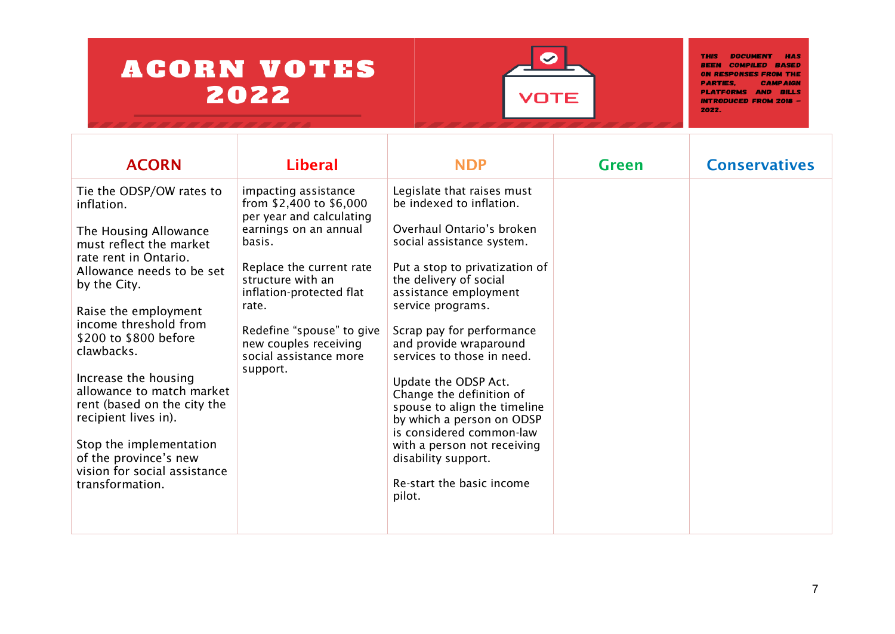

| Legislate that raises must<br>Tie the ODSP/OW rates to<br>impacting assistance<br>from \$2,400 to \$6,000<br>be indexed to inflation.<br>inflation.<br>per year and calculating<br>Overhaul Ontario's broken<br>earnings on an annual<br>The Housing Allowance<br>basis.<br>social assistance system.<br>must reflect the market<br>rate rent in Ontario.<br>Replace the current rate<br>Put a stop to privatization of<br>Allowance needs to be set<br>structure with an<br>the delivery of social<br>by the City.<br>assistance employment<br>inflation-protected flat<br>service programs.<br>rate.<br>Raise the employment<br>income threshold from<br>Redefine "spouse" to give<br>Scrap pay for performance<br>\$200 to \$800 before<br>and provide wraparound<br>new couples receiving<br>clawbacks.<br>services to those in need.<br>social assistance more<br>support.<br>Increase the housing<br>Update the ODSP Act.<br>allowance to match market<br>Change the definition of<br>rent (based on the city the<br>spouse to align the timeline<br>recipient lives in).<br>by which a person on ODSP<br>is considered common-law | <b>ACORN</b>            | <b>Liberal</b> | <b>NDP</b>                  | <b>Green</b> | <b>Conservatives</b> |
|------------------------------------------------------------------------------------------------------------------------------------------------------------------------------------------------------------------------------------------------------------------------------------------------------------------------------------------------------------------------------------------------------------------------------------------------------------------------------------------------------------------------------------------------------------------------------------------------------------------------------------------------------------------------------------------------------------------------------------------------------------------------------------------------------------------------------------------------------------------------------------------------------------------------------------------------------------------------------------------------------------------------------------------------------------------------------------------------------------------------------------------|-------------------------|----------------|-----------------------------|--------------|----------------------|
| of the province's new<br>disability support.<br>vision for social assistance<br>Re-start the basic income<br>transformation.<br>pilot.                                                                                                                                                                                                                                                                                                                                                                                                                                                                                                                                                                                                                                                                                                                                                                                                                                                                                                                                                                                                   | Stop the implementation |                | with a person not receiving |              |                      |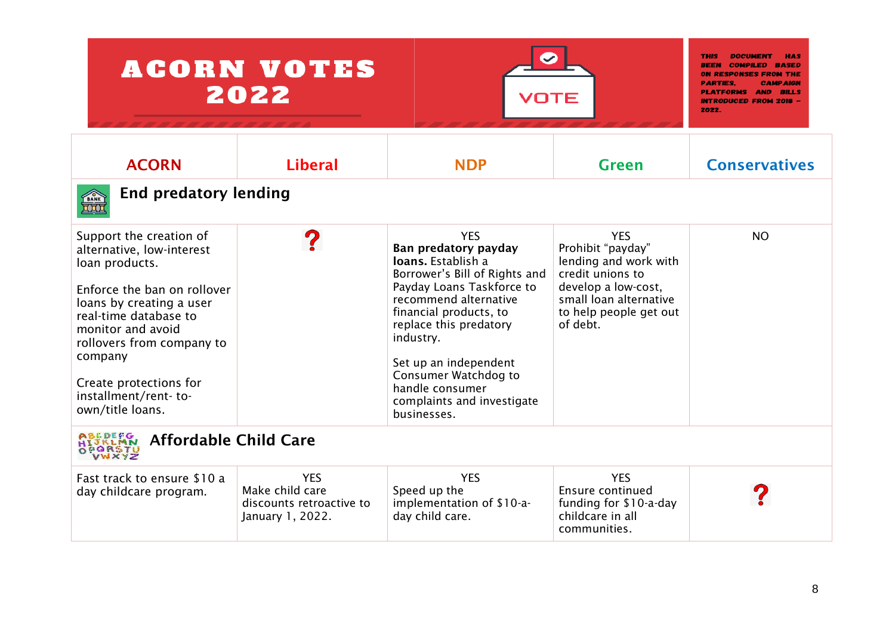|                                                                                                                                                                                                                                                                                               | <b>ACORN VOTES</b><br>2022                                                    | VOTE                                                                                                                                                                                                                                                                                                                              |                                                                                                                                                                     | <b>THIS</b><br><b>DOCUMEN</b><br><b>REEN COMPILED</b><br>RASED<br><b>ON RESPONSES FROM THI</b><br><b>PARTIES.</b><br>PLATFORMS AND<br>RILLS<br><b>INTRODUCED FROM 2018 -</b><br>2022. |  |
|-----------------------------------------------------------------------------------------------------------------------------------------------------------------------------------------------------------------------------------------------------------------------------------------------|-------------------------------------------------------------------------------|-----------------------------------------------------------------------------------------------------------------------------------------------------------------------------------------------------------------------------------------------------------------------------------------------------------------------------------|---------------------------------------------------------------------------------------------------------------------------------------------------------------------|---------------------------------------------------------------------------------------------------------------------------------------------------------------------------------------|--|
| <b>ACORN</b>                                                                                                                                                                                                                                                                                  | <b>Liberal</b>                                                                | <b>NDP</b>                                                                                                                                                                                                                                                                                                                        | <b>Green</b>                                                                                                                                                        | <b>Conservatives</b>                                                                                                                                                                  |  |
| <b>End predatory lending</b><br><b>TANK</b>                                                                                                                                                                                                                                                   |                                                                               |                                                                                                                                                                                                                                                                                                                                   |                                                                                                                                                                     |                                                                                                                                                                                       |  |
| Support the creation of<br>alternative, low-interest<br>loan products.<br>Enforce the ban on rollover<br>loans by creating a user<br>real-time database to<br>monitor and avoid<br>rollovers from company to<br>company<br>Create protections for<br>installment/rent-to-<br>own/title loans. |                                                                               | <b>YES</b><br>Ban predatory payday<br>loans. Establish a<br>Borrower's Bill of Rights and<br>Payday Loans Taskforce to<br>recommend alternative<br>financial products, to<br>replace this predatory<br>industry.<br>Set up an independent<br>Consumer Watchdog to<br>handle consumer<br>complaints and investigate<br>businesses. | <b>YES</b><br>Prohibit "payday"<br>lending and work with<br>credit unions to<br>develop a low-cost,<br>small loan alternative<br>to help people get out<br>of debt. | <b>NO</b>                                                                                                                                                                             |  |
| ABEDEFG<br><b>Affordable Child Care</b><br>OPORSTU                                                                                                                                                                                                                                            |                                                                               |                                                                                                                                                                                                                                                                                                                                   |                                                                                                                                                                     |                                                                                                                                                                                       |  |
| Fast track to ensure \$10 a<br>day childcare program.                                                                                                                                                                                                                                         | <b>YES</b><br>Make child care<br>discounts retroactive to<br>January 1, 2022. | <b>YES</b><br>Speed up the<br>implementation of \$10-a-<br>day child care.                                                                                                                                                                                                                                                        | <b>YES</b><br>Ensure continued<br>funding for \$10-a-day<br>childcare in all<br>communities.                                                                        |                                                                                                                                                                                       |  |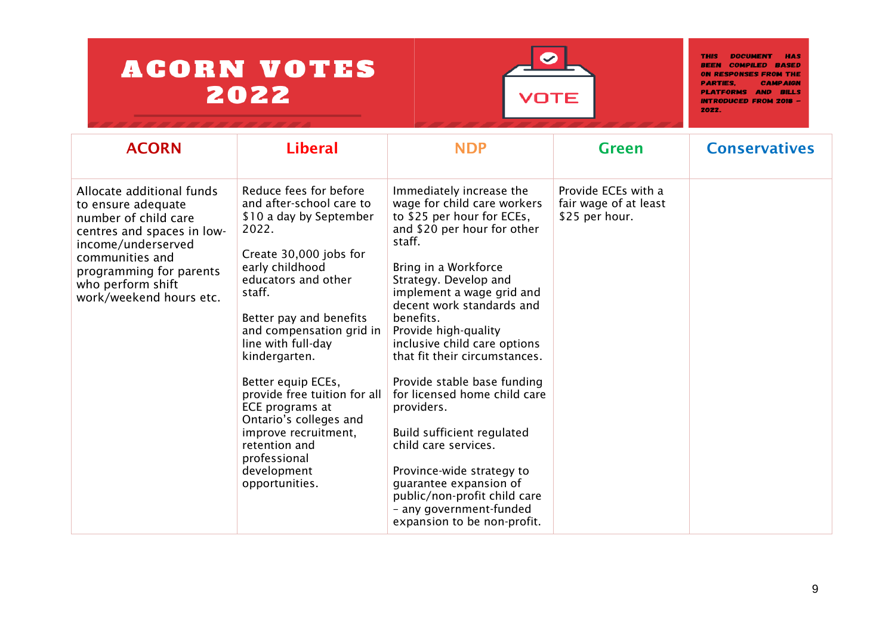

| <b>ACORN</b>                                                                                                                                                                                                              | <b>Liberal</b>                                                                                                                                                                                                                                                                                                                                                                                                                                                  | <b>NDP</b>                                                                                                                                                                                                                                                                                                                                                                                                                                                                                                                                                                                                                          | <b>Green</b>                                                   | <b>Conservatives</b> |
|---------------------------------------------------------------------------------------------------------------------------------------------------------------------------------------------------------------------------|-----------------------------------------------------------------------------------------------------------------------------------------------------------------------------------------------------------------------------------------------------------------------------------------------------------------------------------------------------------------------------------------------------------------------------------------------------------------|-------------------------------------------------------------------------------------------------------------------------------------------------------------------------------------------------------------------------------------------------------------------------------------------------------------------------------------------------------------------------------------------------------------------------------------------------------------------------------------------------------------------------------------------------------------------------------------------------------------------------------------|----------------------------------------------------------------|----------------------|
| Allocate additional funds<br>to ensure adequate<br>number of child care<br>centres and spaces in low-<br>income/underserved<br>communities and<br>programming for parents<br>who perform shift<br>work/weekend hours etc. | Reduce fees for before<br>and after-school care to<br>\$10 a day by September<br>2022.<br>Create 30,000 jobs for<br>early childhood<br>educators and other<br>staff.<br>Better pay and benefits<br>and compensation grid in<br>line with full-day<br>kindergarten.<br>Better equip ECEs,<br>provide free tuition for all<br>ECE programs at<br>Ontario's colleges and<br>improve recruitment,<br>retention and<br>professional<br>development<br>opportunities. | Immediately increase the<br>wage for child care workers<br>to \$25 per hour for ECEs,<br>and \$20 per hour for other<br>staff.<br>Bring in a Workforce<br>Strategy. Develop and<br>implement a wage grid and<br>decent work standards and<br>benefits.<br>Provide high-quality<br>inclusive child care options<br>that fit their circumstances.<br>Provide stable base funding<br>for licensed home child care<br>providers.<br>Build sufficient regulated<br>child care services.<br>Province-wide strategy to<br>guarantee expansion of<br>public/non-profit child care<br>- any government-funded<br>expansion to be non-profit. | Provide ECEs with a<br>fair wage of at least<br>\$25 per hour. |                      |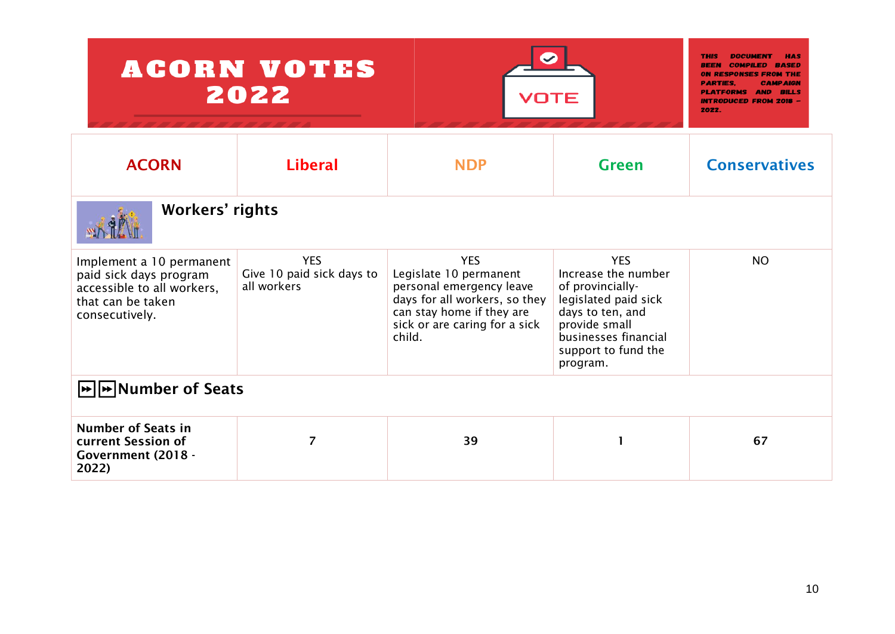| <b>ACORN VOTES</b><br>2022                                                                                              | <b>THIS</b><br>REEN<br><b>ON RESPONSES FROM THE</b><br><b>PARTIES.</b><br><b>CAMPAIGN</b><br><b>PLATFORMS AND</b><br><b>BILLS</b><br><b>INTRODUCED FROM 2018 -</b><br>2022. |                                                                                                                                                                           |                                                                                                                                                                               |                      |  |
|-------------------------------------------------------------------------------------------------------------------------|-----------------------------------------------------------------------------------------------------------------------------------------------------------------------------|---------------------------------------------------------------------------------------------------------------------------------------------------------------------------|-------------------------------------------------------------------------------------------------------------------------------------------------------------------------------|----------------------|--|
| <b>ACORN</b>                                                                                                            | <b>Liberal</b>                                                                                                                                                              | <b>NDP</b>                                                                                                                                                                | <b>Green</b>                                                                                                                                                                  | <b>Conservatives</b> |  |
| <b>Workers' rights</b>                                                                                                  |                                                                                                                                                                             |                                                                                                                                                                           |                                                                                                                                                                               |                      |  |
| Implement a 10 permanent<br>paid sick days program<br>accessible to all workers,<br>that can be taken<br>consecutively. | <b>YES</b><br>Give 10 paid sick days to<br>all workers                                                                                                                      | <b>YES</b><br>Legislate 10 permanent<br>personal emergency leave<br>days for all workers, so they<br>can stay home if they are<br>sick or are caring for a sick<br>child. | <b>YES</b><br>Increase the number<br>of provincially-<br>legislated paid sick<br>days to ten, and<br>provide small<br>businesses financial<br>support to fund the<br>program. | <b>NO</b>            |  |
| $\blacktriangleright$ Number of Seats                                                                                   |                                                                                                                                                                             |                                                                                                                                                                           |                                                                                                                                                                               |                      |  |
| <b>Number of Seats in</b><br>current Session of<br>Government (2018 -<br>2022)                                          | $\overline{7}$                                                                                                                                                              | 39                                                                                                                                                                        | 1                                                                                                                                                                             | 67                   |  |